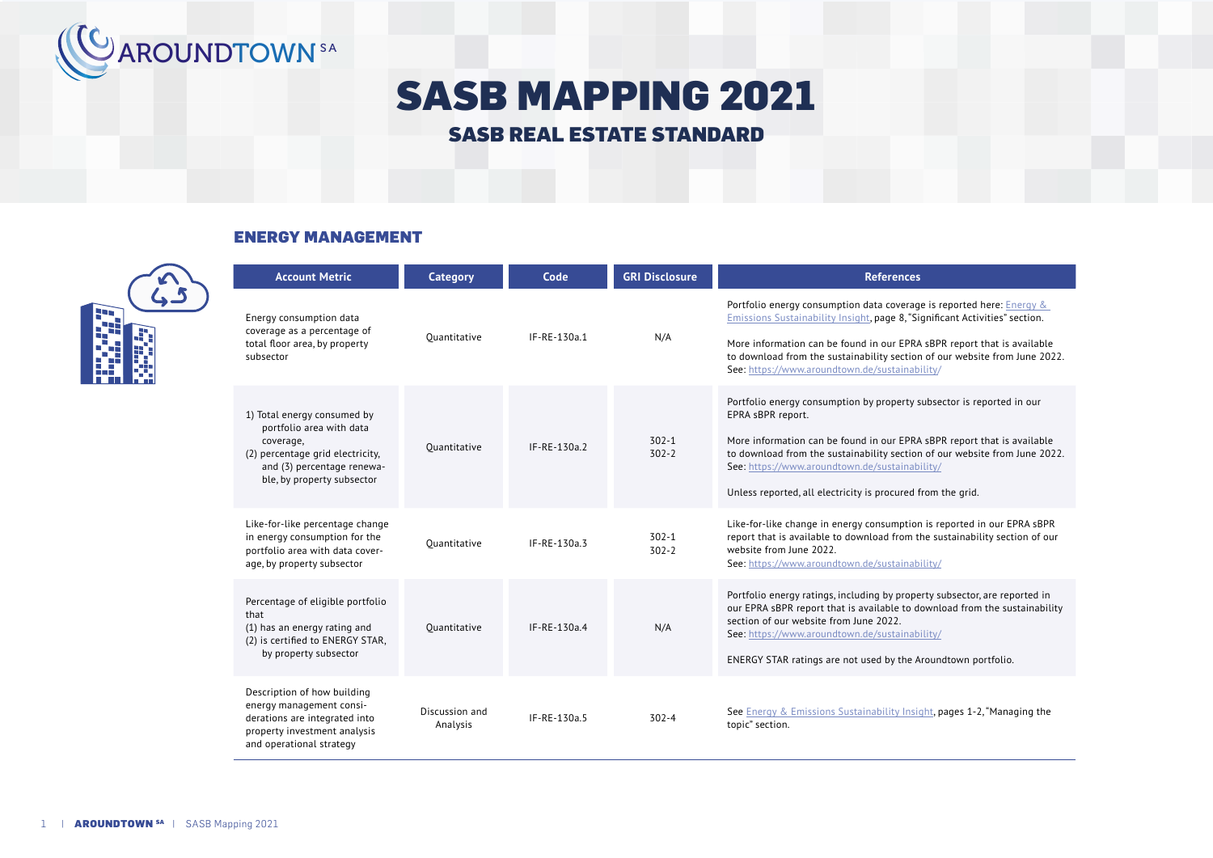

# SASB MAPPING 2021

# SASB REAL ESTATE STANDARD

### ENERGY MANAGEMENT



| <b>Account Metric</b>                                                                                                                                                | <b>Category</b>            | Code           | <b>GRI Disclosure</b>  | <b>References</b>                                                                                                                                                                                                                                                                                                                                                    |
|----------------------------------------------------------------------------------------------------------------------------------------------------------------------|----------------------------|----------------|------------------------|----------------------------------------------------------------------------------------------------------------------------------------------------------------------------------------------------------------------------------------------------------------------------------------------------------------------------------------------------------------------|
| Energy consumption data<br>coverage as a percentage of<br>total floor area, by property<br>subsector                                                                 | Ouantitative               | IF-RE-130a.1   | N/A                    | Portfolio energy consumption data coverage is reported here: Energy &<br>Emissions Sustainability Insight, page 8, "Significant Activities" section.<br>More information can be found in our EPRA sBPR report that is available<br>to download from the sustainability section of our website from June 2022.<br>See: https://www.aroundtown.de/sustainability/      |
| 1) Total energy consumed by<br>portfolio area with data<br>coverage,<br>(2) percentage grid electricity,<br>and (3) percentage renewa-<br>ble, by property subsector | Ouantitative               | IF-RE-130a.2   | $302 - 1$<br>$302 - 2$ | Portfolio energy consumption by property subsector is reported in our<br>EPRA sBPR report.<br>More information can be found in our EPRA sBPR report that is available<br>to download from the sustainability section of our website from June 2022.<br>See: https://www.aroundtown.de/sustainability/<br>Unless reported, all electricity is procured from the grid. |
| Like-for-like percentage change<br>in energy consumption for the<br>portfolio area with data cover-<br>age, by property subsector                                    | Ouantitative               | $IF-RE-130a.3$ | $302 - 1$<br>$302 - 2$ | Like-for-like change in energy consumption is reported in our EPRA sBPR<br>report that is available to download from the sustainability section of our<br>website from June 2022.<br>See: https://www.aroundtown.de/sustainability/                                                                                                                                  |
| Percentage of eligible portfolio<br>that<br>(1) has an energy rating and<br>(2) is certified to ENERGY STAR,<br>by property subsector                                | Ouantitative               | $IF-RE-130a.4$ | N/A                    | Portfolio energy ratings, including by property subsector, are reported in<br>our EPRA sBPR report that is available to download from the sustainability<br>section of our website from June 2022.<br>See: https://www.aroundtown.de/sustainability/<br>ENERGY STAR ratings are not used by the Aroundtown portfolio.                                                |
| Description of how building<br>energy management consi-<br>derations are integrated into<br>property investment analysis<br>and operational strategy                 | Discussion and<br>Analysis | IF-RE-130a.5   | $302 - 4$              | See Energy & Emissions Sustainability Insight, pages 1-2, "Managing the<br>topic" section.                                                                                                                                                                                                                                                                           |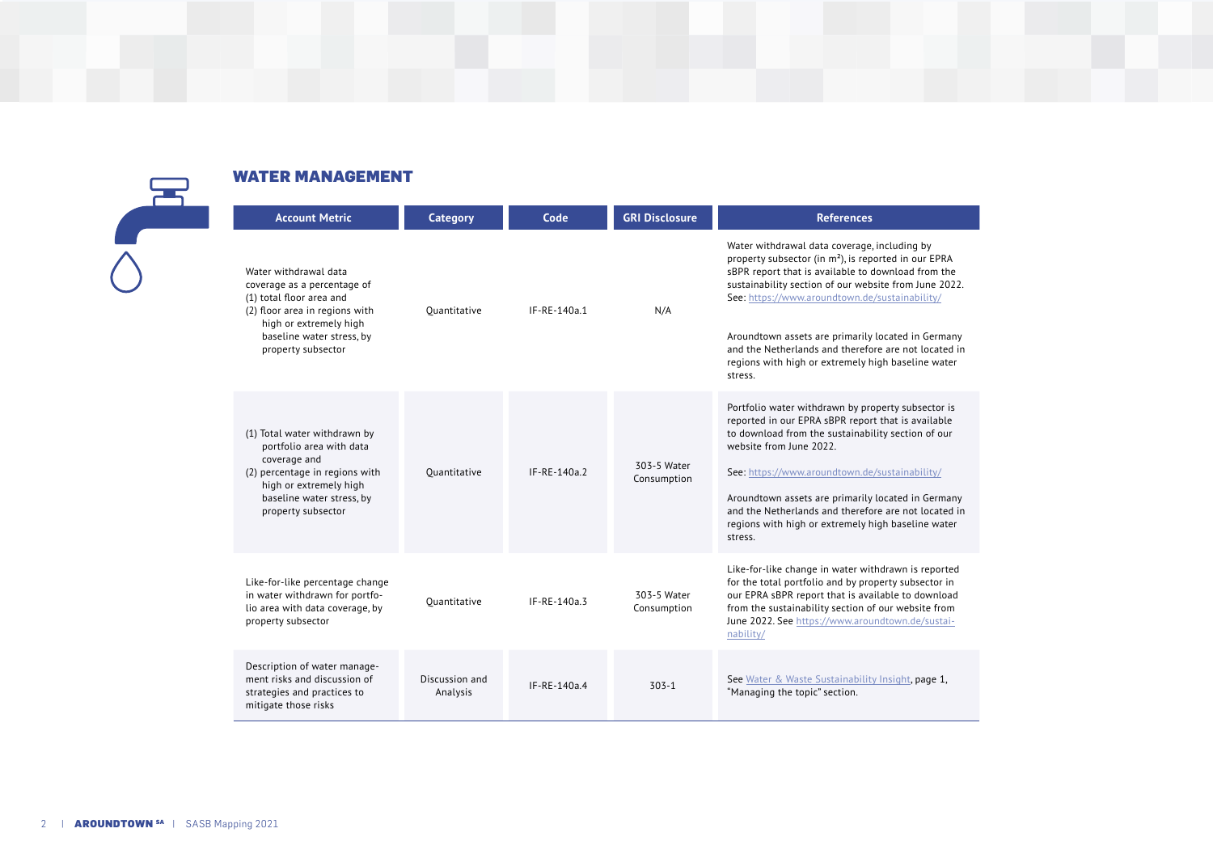| <b>WATER MANAGEMENT</b>                                                                                                                                                                         |                            |              |                            |                                                                                                                                                                                                                                                                                                                                                                                                                                                       |  |  |
|-------------------------------------------------------------------------------------------------------------------------------------------------------------------------------------------------|----------------------------|--------------|----------------------------|-------------------------------------------------------------------------------------------------------------------------------------------------------------------------------------------------------------------------------------------------------------------------------------------------------------------------------------------------------------------------------------------------------------------------------------------------------|--|--|
| <b>Account Metric</b>                                                                                                                                                                           | <b>Category</b>            | Code         | <b>GRI Disclosure</b>      | <b>References</b>                                                                                                                                                                                                                                                                                                                                                                                                                                     |  |  |
| Water withdrawal data<br>coverage as a percentage of<br>(1) total floor area and<br>(2) floor area in regions with<br>high or extremely high<br>baseline water stress, by<br>property subsector | Ouantitative               | IF-RE-140a.1 | N/A                        | Water withdrawal data coverage, including by<br>property subsector (in m <sup>2</sup> ), is reported in our EPRA<br>sBPR report that is available to download from the<br>sustainability section of our website from June 2022.<br>See: https://www.aroundtown.de/sustainability/<br>Aroundtown assets are primarily located in Germany<br>and the Netherlands and therefore are not located in<br>regions with high or extremely high baseline water |  |  |
|                                                                                                                                                                                                 |                            |              |                            | stress.                                                                                                                                                                                                                                                                                                                                                                                                                                               |  |  |
| (1) Total water withdrawn by<br>portfolio area with data<br>coverage and<br>(2) percentage in regions with<br>high or extremely high<br>baseline water stress, by<br>property subsector         | Ouantitative               | IF-RE-140a.2 | 303-5 Water<br>Consumption | Portfolio water withdrawn by property subsector is<br>reported in our EPRA sBPR report that is available<br>to download from the sustainability section of our<br>website from June 2022.<br>See: https://www.aroundtown.de/sustainability/<br>Aroundtown assets are primarily located in Germany<br>and the Netherlands and therefore are not located in<br>regions with high or extremely high baseline water<br>stress.                            |  |  |
| Like-for-like percentage change<br>in water withdrawn for portfo-<br>lio area with data coverage, by<br>property subsector                                                                      | Ouantitative               | IF-RE-140a.3 | 303-5 Water<br>Consumption | Like-for-like change in water withdrawn is reported<br>for the total portfolio and by property subsector in<br>our EPRA sBPR report that is available to download<br>from the sustainability section of our website from<br>June 2022. See https://www.aroundtown.de/sustai-<br>nability/                                                                                                                                                             |  |  |
| Description of water manage-<br>ment risks and discussion of<br>strategies and practices to<br>mitigate those risks                                                                             | Discussion and<br>Analysis | IF-RE-140a.4 | $303 - 1$                  | See Water & Waste Sustainability Insight, page 1,<br>"Managing the topic" section.                                                                                                                                                                                                                                                                                                                                                                    |  |  |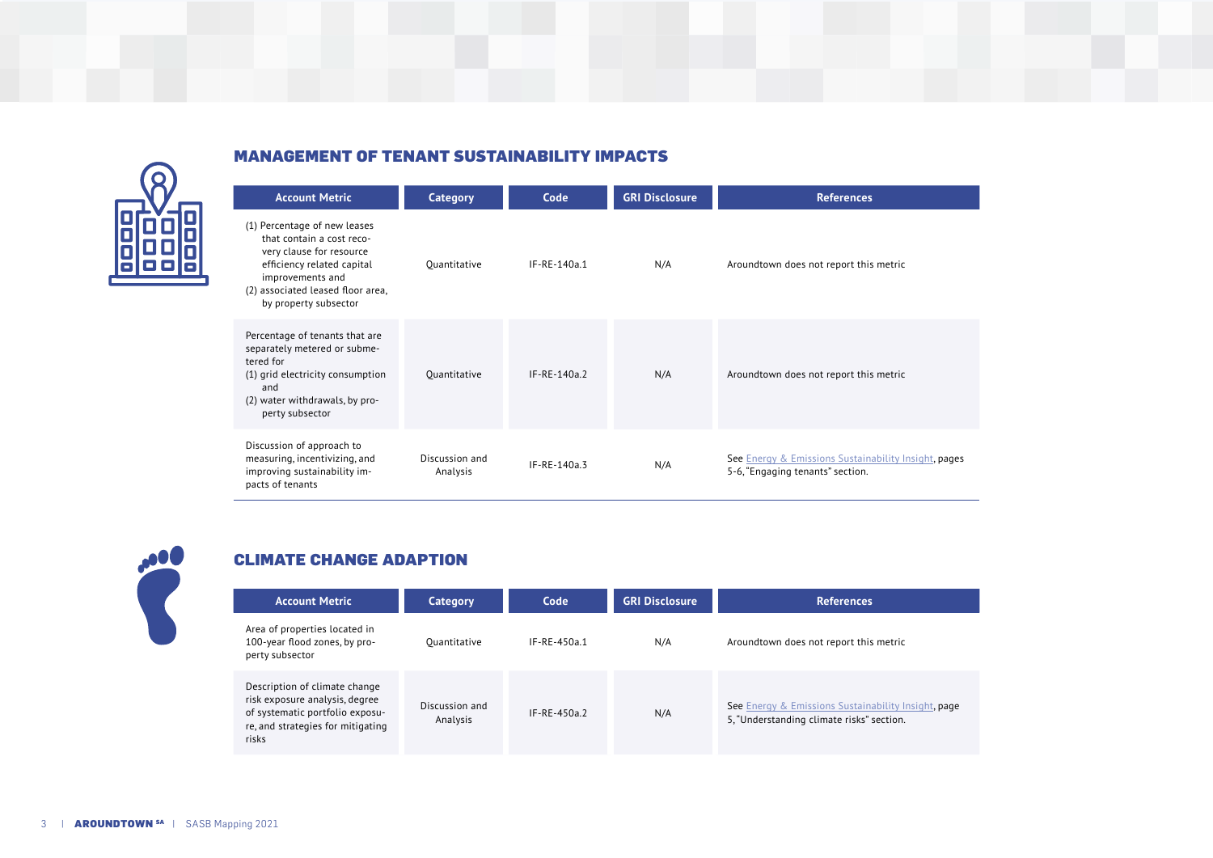

### MANAGEMENT OF TENANT SUSTAINABILITY IMPACTS

| <b>Account Metric</b>                                                                                                                                                                                 | Category                   | Code           | <b>GRI Disclosure</b> | <b>References</b>                                                                        |
|-------------------------------------------------------------------------------------------------------------------------------------------------------------------------------------------------------|----------------------------|----------------|-----------------------|------------------------------------------------------------------------------------------|
| (1) Percentage of new leases<br>that contain a cost reco-<br>very clause for resource<br>efficiency related capital<br>improvements and<br>(2) associated leased floor area,<br>by property subsector | Ouantitative               | IF-RE-140a.1   | N/A                   | Aroundtown does not report this metric                                                   |
| Percentage of tenants that are<br>separately metered or subme-<br>tered for<br>(1) grid electricity consumption<br>and<br>(2) water withdrawals, by pro-<br>perty subsector                           | Ouantitative               | $IF-RE-140a.2$ | N/A                   | Aroundtown does not report this metric                                                   |
| Discussion of approach to<br>measuring, incentivizing, and<br>improving sustainability im-<br>pacts of tenants                                                                                        | Discussion and<br>Analysis | IF-RE-140a.3   | N/A                   | See Energy & Emissions Sustainability Insight, pages<br>5-6, "Engaging tenants" section. |

# CLIMATE CHANGE ADAPTION

| <b>Account Metric</b>                                                                                                                            | Category                   | Code           | <b>GRI Disclosure</b> | <b>References</b>                                                                                |
|--------------------------------------------------------------------------------------------------------------------------------------------------|----------------------------|----------------|-----------------------|--------------------------------------------------------------------------------------------------|
| Area of properties located in<br>100-year flood zones, by pro-<br>perty subsector                                                                | Ouantitative               | $IF-RE-450a.1$ | N/A                   | Aroundtown does not report this metric                                                           |
| Description of climate change<br>risk exposure analysis, degree<br>of systematic portfolio exposu-<br>re, and strategies for mitigating<br>risks | Discussion and<br>Analysis | $IF-RF-450a$   | N/A                   | See Energy & Emissions Sustainability Insight, page<br>5, "Understanding climate risks" section. |